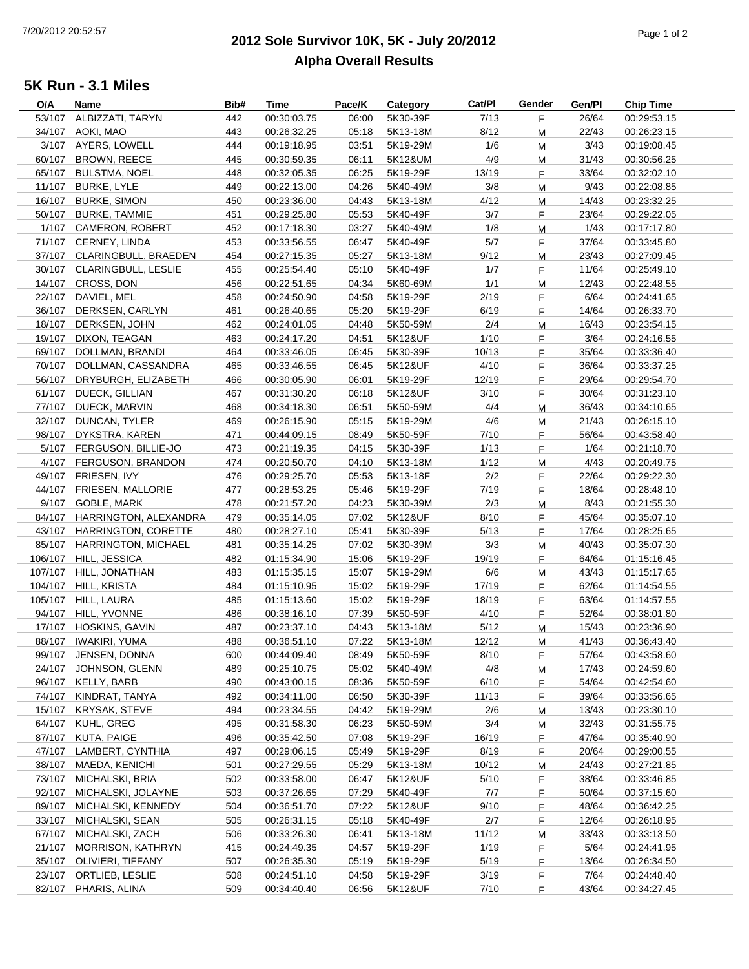## **2012 Sole Survivor 10K, 5K - July 20/2012** Page 1 of 2**Alpha Overall Results**

## **5K Run - 3.1 Miles**

| O/A    | Name                         | Bib# | Time        | Pace/K | Category | Cat/PI | Gender | Gen/Pl | <b>Chip Time</b> |
|--------|------------------------------|------|-------------|--------|----------|--------|--------|--------|------------------|
| 53/107 | ALBIZZATI, TARYN             | 442  | 00:30:03.75 | 06:00  | 5K30-39F | 7/13   | F      | 26/64  | 00:29:53.15      |
| 34/107 | AOKI, MAO                    | 443  | 00:26:32.25 | 05:18  | 5K13-18M | 8/12   | M      | 22/43  | 00:26:23.15      |
|        | 3/107 AYERS, LOWELL          | 444  | 00:19:18.95 | 03:51  | 5K19-29M | 1/6    | M      | 3/43   | 00:19:08.45      |
| 60/107 | BROWN, REECE                 | 445  | 00:30:59.35 | 06:11  | 5K12&UM  | 4/9    | M      | 31/43  | 00:30:56.25      |
| 65/107 | <b>BULSTMA, NOEL</b>         | 448  | 00:32:05.35 | 06:25  | 5K19-29F | 13/19  | F      | 33/64  | 00:32:02.10      |
| 11/107 | <b>BURKE, LYLE</b>           | 449  | 00:22:13.00 | 04:26  | 5K40-49M | 3/8    | M      | 9/43   | 00:22:08.85      |
| 16/107 | <b>BURKE, SIMON</b>          | 450  | 00:23:36.00 | 04:43  | 5K13-18M | 4/12   | M      | 14/43  | 00:23:32.25      |
| 50/107 | <b>BURKE, TAMMIE</b>         | 451  | 00:29:25.80 | 05:53  | 5K40-49F | 3/7    | F      | 23/64  | 00:29:22.05      |
|        | 1/107 CAMERON, ROBERT        | 452  | 00:17:18.30 | 03:27  | 5K40-49M | 1/8    | М      | 1/43   | 00:17:17.80      |
|        | 71/107 CERNEY, LINDA         | 453  | 00:33:56.55 | 06:47  | 5K40-49F | 5/7    | F      | 37/64  | 00:33:45.80      |
|        | 37/107 CLARINGBULL, BRAEDEN  | 454  | 00:27:15.35 | 05:27  | 5K13-18M | 9/12   | M      | 23/43  | 00:27:09.45      |
|        | 30/107 CLARINGBULL, LESLIE   | 455  | 00:25:54.40 | 05:10  | 5K40-49F | 1/7    | F      | 11/64  | 00:25:49.10      |
|        | 14/107 CROSS, DON            | 456  | 00:22:51.65 | 04:34  | 5K60-69M | 1/1    | M      | 12/43  | 00:22:48.55      |
|        | 22/107 DAVIEL, MEL           | 458  | 00:24:50.90 | 04:58  | 5K19-29F | 2/19   | F.     | 6/64   | 00:24:41.65      |
|        | 36/107 DERKSEN, CARLYN       | 461  | 00:26:40.65 | 05:20  | 5K19-29F | 6/19   | F      | 14/64  | 00:26:33.70      |
|        | 18/107 DERKSEN, JOHN         | 462  | 00:24:01.05 | 04:48  | 5K50-59M | 2/4    | M      | 16/43  | 00:23:54.15      |
| 19/107 | DIXON, TEAGAN                | 463  | 00:24:17.20 | 04:51  | 5K12&UF  | 1/10   | F.     | 3/64   | 00:24:16.55      |
|        | 69/107 DOLLMAN, BRANDI       | 464  | 00:33:46.05 | 06:45  | 5K30-39F | 10/13  | F.     | 35/64  | 00:33:36.40      |
|        | 70/107 DOLLMAN, CASSANDRA    | 465  | 00:33:46.55 | 06:45  | 5K12&UF  | 4/10   | F      | 36/64  | 00:33:37.25      |
|        | 56/107 DRYBURGH, ELIZABETH   | 466  | 00:30:05.90 | 06:01  | 5K19-29F | 12/19  | F      | 29/64  | 00:29:54.70      |
|        | 61/107 DUECK, GILLIAN        | 467  | 00:31:30.20 | 06:18  | 5K12&UF  | 3/10   | F      | 30/64  | 00:31:23.10      |
|        | 77/107 DUECK, MARVIN         | 468  | 00:34:18.30 | 06:51  | 5K50-59M | 4/4    |        | 36/43  | 00:34:10.65      |
| 32/107 | DUNCAN, TYLER                | 469  | 00:26:15.90 | 05:15  | 5K19-29M | 4/6    | М      | 21/43  | 00:26:15.10      |
|        | 98/107 DYKSTRA, KAREN        | 471  | 00:44:09.15 | 08:49  | 5K50-59F | 7/10   | M      | 56/64  | 00:43:58.40      |
|        | 5/107 FERGUSON, BILLIE-JO    |      | 00:21:19.35 |        |          |        | F.     |        | 00:21:18.70      |
|        |                              | 473  |             | 04:15  | 5K30-39F | 1/13   | F.     | 1/64   |                  |
|        | 4/107 FERGUSON, BRANDON      | 474  | 00:20:50.70 | 04:10  | 5K13-18M | 1/12   | M      | 4/43   | 00:20:49.75      |
|        | 49/107 FRIESEN, IVY          | 476  | 00:29:25.70 | 05:53  | 5K13-18F | 2/2    | F      | 22/64  | 00:29:22.30      |
|        | 44/107 FRIESEN, MALLORIE     | 477  | 00:28:53.25 | 05:46  | 5K19-29F | 7/19   | F      | 18/64  | 00:28:48.10      |
|        | 9/107 GOBLE, MARK            | 478  | 00:21:57.20 | 04:23  | 5K30-39M | 2/3    | M      | 8/43   | 00:21:55.30      |
|        | 84/107 HARRINGTON, ALEXANDRA | 479  | 00:35:14.05 | 07:02  | 5K12&UF  | 8/10   | F.     | 45/64  | 00:35:07.10      |
|        | 43/107 HARRINGTON, CORETTE   | 480  | 00:28:27.10 | 05:41  | 5K30-39F | 5/13   | F      | 17/64  | 00:28:25.65      |
|        | 85/107 HARRINGTON, MICHAEL   | 481  | 00:35:14.25 | 07:02  | 5K30-39M | 3/3    | M      | 40/43  | 00:35:07.30      |
|        | 106/107 HILL, JESSICA        | 482  | 01:15:34.90 | 15:06  | 5K19-29F | 19/19  | F.     | 64/64  | 01:15:16.45      |
|        | 107/107 HILL, JONATHAN       | 483  | 01:15:35.15 | 15:07  | 5K19-29M | 6/6    | M      | 43/43  | 01:15:17.65      |
|        | 104/107 HILL, KRISTA         | 484  | 01:15:10.95 | 15:02  | 5K19-29F | 17/19  | F      | 62/64  | 01:14:54.55      |
|        | 105/107 HILL, LAURA          | 485  | 01:15:13.60 | 15:02  | 5K19-29F | 18/19  | F      | 63/64  | 01:14:57.55      |
| 94/107 | HILL, YVONNE                 | 486  | 00:38:16.10 | 07:39  | 5K50-59F | 4/10   | F.     | 52/64  | 00:38:01.80      |
|        | 17/107 HOSKINS, GAVIN        | 487  | 00:23:37.10 | 04:43  | 5K13-18M | 5/12   | M      | 15/43  | 00:23:36.90      |
|        | 88/107 IWAKIRI, YUMA         | 488  | 00:36:51.10 | 07:22  | 5K13-18M | 12/12  | M      | 41/43  | 00:36:43.40      |
|        | 99/107 JENSEN, DONNA         | 600  | 00:44:09.40 | 08:49  | 5K50-59F | 8/10   | F.     | 57/64  | 00:43:58.60      |
| 24/107 | JOHNSON, GLENN               | 489  | 00:25:10.75 | 05:02  | 5K40-49M | 4/8    | M      | 17/43  | 00:24:59.60      |
| 96/107 | KELLY, BARB                  | 490  | 00:43:00.15 | 08:36  | 5K50-59F | 6/10   | F.     | 54/64  | 00:42:54.60      |
| 74/107 | KINDRAT, TANYA               | 492  | 00:34:11.00 | 06:50  | 5K30-39F | 11/13  | F      | 39/64  | 00:33:56.65      |
| 15/107 | KRYSAK, STEVE                | 494  | 00:23:34.55 | 04:42  | 5K19-29M | 2/6    | M      | 13/43  | 00:23:30.10      |
| 64/107 | KUHL, GREG                   | 495  | 00:31:58.30 | 06:23  | 5K50-59M | 3/4    | M      | 32/43  | 00:31:55.75      |
| 87/107 | KUTA, PAIGE                  | 496  | 00:35:42.50 | 07:08  | 5K19-29F | 16/19  | F      | 47/64  | 00:35:40.90      |
| 47/107 | LAMBERT, CYNTHIA             | 497  | 00:29:06.15 | 05:49  | 5K19-29F | 8/19   | F      | 20/64  | 00:29:00.55      |
| 38/107 | MAEDA, KENICHI               | 501  | 00:27:29.55 | 05:29  | 5K13-18M | 10/12  | M      | 24/43  | 00:27:21.85      |
| 73/107 | MICHALSKI, BRIA              | 502  | 00:33:58.00 | 06:47  | 5K12&UF  | 5/10   | F.     | 38/64  | 00:33:46.85      |
| 92/107 | MICHALSKI, JOLAYNE           | 503  | 00:37:26.65 | 07:29  | 5K40-49F | 7/7    | F.     | 50/64  | 00:37:15.60      |
| 89/107 | MICHALSKI, KENNEDY           | 504  | 00:36:51.70 | 07:22  | 5K12&UF  | 9/10   | F      | 48/64  | 00:36:42.25      |
| 33/107 | MICHALSKI, SEAN              | 505  | 00:26:31.15 | 05:18  | 5K40-49F | 2/7    | F      | 12/64  | 00:26:18.95      |
| 67/107 | MICHALSKI, ZACH              | 506  | 00:33:26.30 | 06:41  | 5K13-18M | 11/12  | M      | 33/43  | 00:33:13.50      |
| 21/107 | MORRISON, KATHRYN            | 415  | 00:24:49.35 | 04:57  | 5K19-29F | 1/19   | F.     | 5/64   | 00:24:41.95      |
|        | 35/107 OLIVIERI, TIFFANY     | 507  | 00:26:35.30 | 05:19  | 5K19-29F | 5/19   | F.     | 13/64  | 00:26:34.50      |
|        | 23/107 ORTLIEB, LESLIE       | 508  | 00:24:51.10 | 04:58  | 5K19-29F | 3/19   | F.     | 7/64   | 00:24:48.40      |
| 82/107 | PHARIS, ALINA                | 509  | 00:34:40.40 | 06:56  | 5K12&UF  | 7/10   | F.     | 43/64  | 00:34:27.45      |
|        |                              |      |             |        |          |        |        |        |                  |